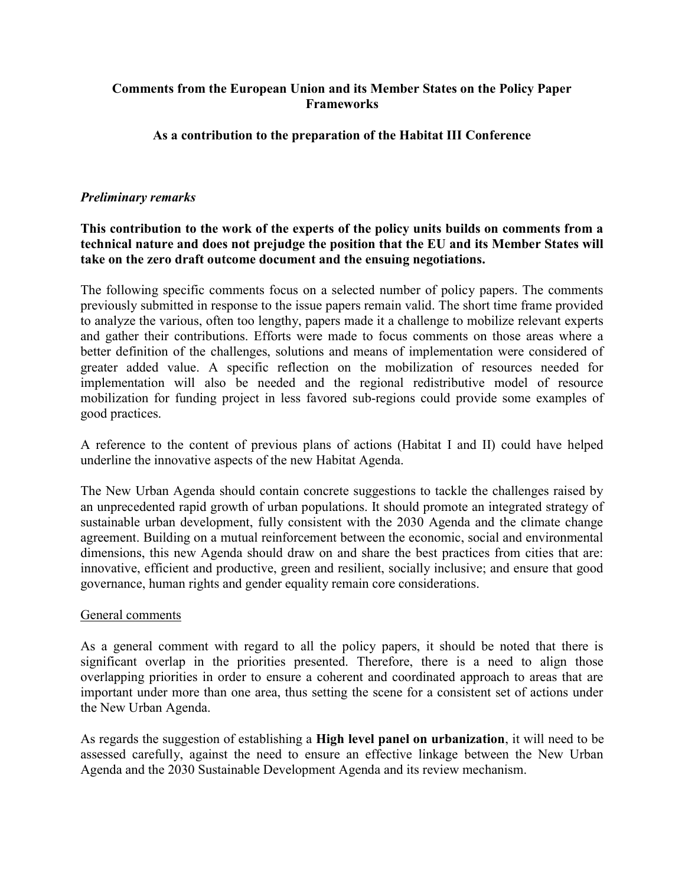### Comments from the European Union and its Member States on the Policy Paper Frameworks

### As a contribution to the preparation of the Habitat III Conference

#### Preliminary remarks

### This contribution to the work of the experts of the policy units builds on comments from a technical nature and does not prejudge the position that the EU and its Member States will take on the zero draft outcome document and the ensuing negotiations.

The following specific comments focus on a selected number of policy papers. The comments previously submitted in response to the issue papers remain valid. The short time frame provided to analyze the various, often too lengthy, papers made it a challenge to mobilize relevant experts and gather their contributions. Efforts were made to focus comments on those areas where a better definition of the challenges, solutions and means of implementation were considered of greater added value. A specific reflection on the mobilization of resources needed for implementation will also be needed and the regional redistributive model of resource mobilization for funding project in less favored sub-regions could provide some examples of good practices.

A reference to the content of previous plans of actions (Habitat I and II) could have helped underline the innovative aspects of the new Habitat Agenda.

The New Urban Agenda should contain concrete suggestions to tackle the challenges raised by an unprecedented rapid growth of urban populations. It should promote an integrated strategy of sustainable urban development, fully consistent with the 2030 Agenda and the climate change agreement. Building on a mutual reinforcement between the economic, social and environmental dimensions, this new Agenda should draw on and share the best practices from cities that are: innovative, efficient and productive, green and resilient, socially inclusive; and ensure that good governance, human rights and gender equality remain core considerations.

#### General comments

As a general comment with regard to all the policy papers, it should be noted that there is significant overlap in the priorities presented. Therefore, there is a need to align those overlapping priorities in order to ensure a coherent and coordinated approach to areas that are important under more than one area, thus setting the scene for a consistent set of actions under the New Urban Agenda.

As regards the suggestion of establishing a High level panel on urbanization, it will need to be assessed carefully, against the need to ensure an effective linkage between the New Urban Agenda and the 2030 Sustainable Development Agenda and its review mechanism.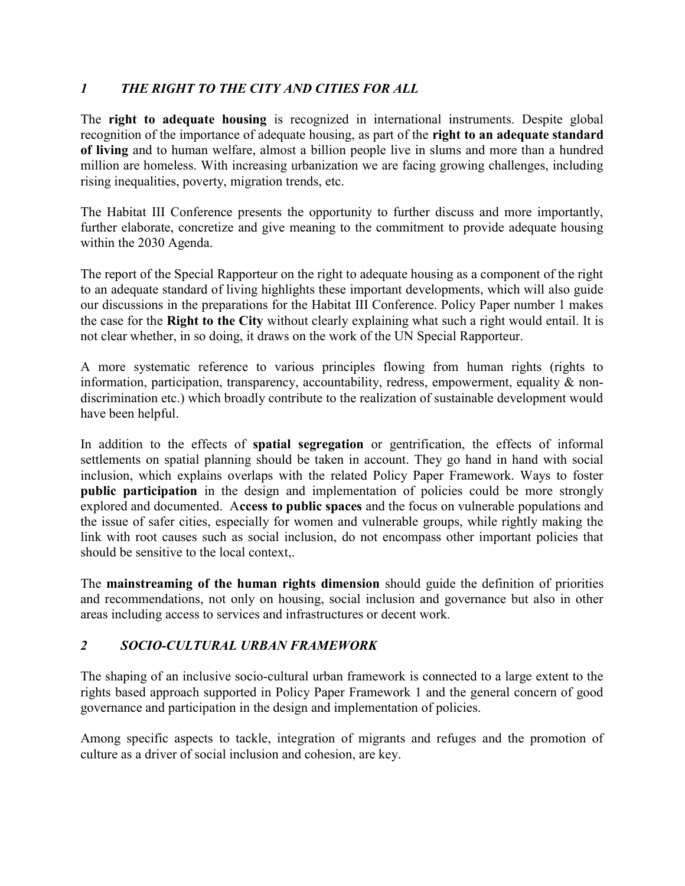# 1 THE RIGHT TO THE CITY AND CITIES FOR ALL

The right to adequate housing is recognized in international instruments. Despite global recognition of the importance of adequate housing, as part of the right to an adequate standard of living and to human welfare, almost a billion people live in slums and more than a hundred million are homeless. With increasing urbanization we are facing growing challenges, including rising inequalities, poverty, migration trends, etc.

The Habitat III Conference presents the opportunity to further discuss and more importantly, further elaborate, concretize and give meaning to the commitment to provide adequate housing within the 2030 Agenda.

The report of the Special Rapporteur on the right to adequate housing as a component of the right to an adequate standard of living highlights these important developments, which will also guide our discussions in the preparations for the Habitat III Conference. Policy Paper number 1 makes the case for the Right to the City without clearly explaining what such a right would entail. It is not clear whether, in so doing, it draws on the work of the UN Special Rapporteur.

A more systematic reference to various principles flowing from human rights (rights to information, participation, transparency, accountability, redress, empowerment, equality & nondiscrimination etc.) which broadly contribute to the realization of sustainable development would have been helpful.

In addition to the effects of spatial segregation or gentrification, the effects of informal settlements on spatial planning should be taken in account. They go hand in hand with social inclusion, which explains overlaps with the related Policy Paper Framework. Ways to foster public participation in the design and implementation of policies could be more strongly explored and documented. Access to public spaces and the focus on vulnerable populations and the issue of safer cities, especially for women and vulnerable groups, while rightly making the link with root causes such as social inclusion, do not encompass other important policies that should be sensitive to the local context,.

The mainstreaming of the human rights dimension should guide the definition of priorities and recommendations, not only on housing, social inclusion and governance but also in other areas including access to services and infrastructures or decent work.

# 2 SOCIO-CULTURAL URBAN FRAMEWORK

The shaping of an inclusive socio-cultural urban framework is connected to a large extent to the rights based approach supported in Policy Paper Framework 1 and the general concern of good governance and participation in the design and implementation of policies.

Among specific aspects to tackle, integration of migrants and refuges and the promotion of culture as a driver of social inclusion and cohesion, are key.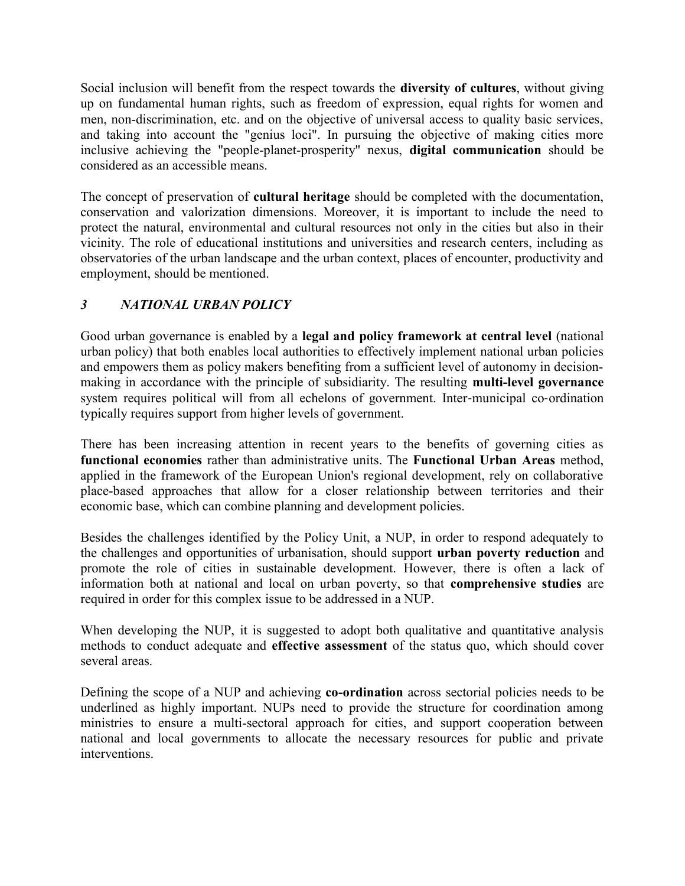Social inclusion will benefit from the respect towards the diversity of cultures, without giving up on fundamental human rights, such as freedom of expression, equal rights for women and men, non-discrimination, etc. and on the objective of universal access to quality basic services, and taking into account the "genius loci". In pursuing the objective of making cities more inclusive achieving the "people-planet-prosperity" nexus, digital communication should be considered as an accessible means.

The concept of preservation of cultural heritage should be completed with the documentation, conservation and valorization dimensions. Moreover, it is important to include the need to protect the natural, environmental and cultural resources not only in the cities but also in their vicinity. The role of educational institutions and universities and research centers, including as observatories of the urban landscape and the urban context, places of encounter, productivity and employment, should be mentioned.

# 3 NATIONAL URBAN POLICY

Good urban governance is enabled by a legal and policy framework at central level (national urban policy) that both enables local authorities to effectively implement national urban policies and empowers them as policy makers benefiting from a sufficient level of autonomy in decisionmaking in accordance with the principle of subsidiarity. The resulting multi-level governance system requires political will from all echelons of government. Inter-municipal co-ordination typically requires support from higher levels of government.

There has been increasing attention in recent years to the benefits of governing cities as functional economies rather than administrative units. The Functional Urban Areas method, applied in the framework of the European Union's regional development, rely on collaborative place-based approaches that allow for a closer relationship between territories and their economic base, which can combine planning and development policies.

Besides the challenges identified by the Policy Unit, a NUP, in order to respond adequately to the challenges and opportunities of urbanisation, should support urban poverty reduction and promote the role of cities in sustainable development. However, there is often a lack of information both at national and local on urban poverty, so that comprehensive studies are required in order for this complex issue to be addressed in a NUP.

When developing the NUP, it is suggested to adopt both qualitative and quantitative analysis methods to conduct adequate and effective assessment of the status quo, which should cover several areas.

Defining the scope of a NUP and achieving co-ordination across sectorial policies needs to be underlined as highly important. NUPs need to provide the structure for coordination among ministries to ensure a multi-sectoral approach for cities, and support cooperation between national and local governments to allocate the necessary resources for public and private interventions.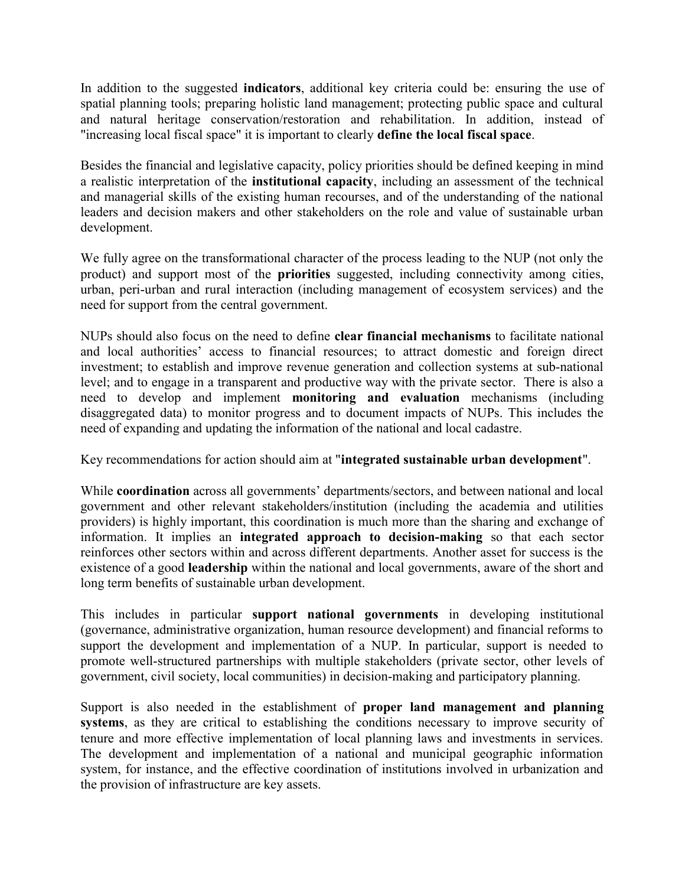In addition to the suggested indicators, additional key criteria could be: ensuring the use of spatial planning tools; preparing holistic land management; protecting public space and cultural and natural heritage conservation/restoration and rehabilitation. In addition, instead of "increasing local fiscal space" it is important to clearly define the local fiscal space.

Besides the financial and legislative capacity, policy priorities should be defined keeping in mind a realistic interpretation of the institutional capacity, including an assessment of the technical and managerial skills of the existing human recourses, and of the understanding of the national leaders and decision makers and other stakeholders on the role and value of sustainable urban development.

We fully agree on the transformational character of the process leading to the NUP (not only the product) and support most of the priorities suggested, including connectivity among cities, urban, peri-urban and rural interaction (including management of ecosystem services) and the need for support from the central government.

NUPs should also focus on the need to define clear financial mechanisms to facilitate national and local authorities' access to financial resources; to attract domestic and foreign direct investment; to establish and improve revenue generation and collection systems at sub-national level; and to engage in a transparent and productive way with the private sector. There is also a need to develop and implement monitoring and evaluation mechanisms (including disaggregated data) to monitor progress and to document impacts of NUPs. This includes the need of expanding and updating the information of the national and local cadastre.

Key recommendations for action should aim at "integrated sustainable urban development".

While coordination across all governments' departments/sectors, and between national and local government and other relevant stakeholders/institution (including the academia and utilities providers) is highly important, this coordination is much more than the sharing and exchange of information. It implies an integrated approach to decision-making so that each sector reinforces other sectors within and across different departments. Another asset for success is the existence of a good leadership within the national and local governments, aware of the short and long term benefits of sustainable urban development.

This includes in particular support national governments in developing institutional (governance, administrative organization, human resource development) and financial reforms to support the development and implementation of a NUP. In particular, support is needed to promote well-structured partnerships with multiple stakeholders (private sector, other levels of government, civil society, local communities) in decision-making and participatory planning.

Support is also needed in the establishment of proper land management and planning systems, as they are critical to establishing the conditions necessary to improve security of tenure and more effective implementation of local planning laws and investments in services. The development and implementation of a national and municipal geographic information system, for instance, and the effective coordination of institutions involved in urbanization and the provision of infrastructure are key assets.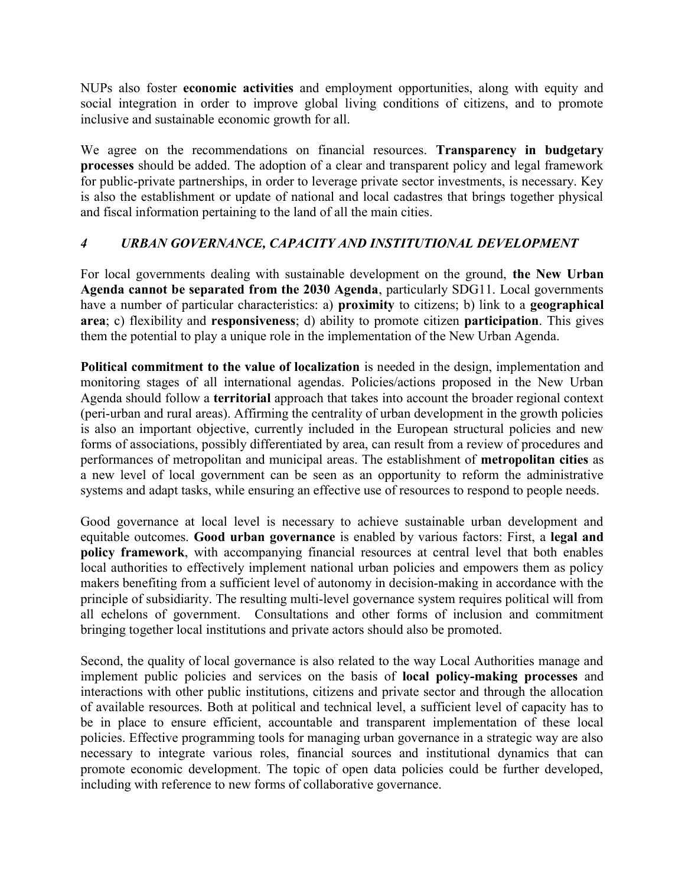NUPs also foster economic activities and employment opportunities, along with equity and social integration in order to improve global living conditions of citizens, and to promote inclusive and sustainable economic growth for all.

We agree on the recommendations on financial resources. Transparency in budgetary processes should be added. The adoption of a clear and transparent policy and legal framework for public-private partnerships, in order to leverage private sector investments, is necessary. Key is also the establishment or update of national and local cadastres that brings together physical and fiscal information pertaining to the land of all the main cities.

## 4 URBAN GOVERNANCE, CAPACITY AND INSTITUTIONAL DEVELOPMENT

For local governments dealing with sustainable development on the ground, the New Urban Agenda cannot be separated from the 2030 Agenda, particularly SDG11. Local governments have a number of particular characteristics: a) proximity to citizens; b) link to a geographical area; c) flexibility and responsiveness; d) ability to promote citizen participation. This gives them the potential to play a unique role in the implementation of the New Urban Agenda.

Political commitment to the value of localization is needed in the design, implementation and monitoring stages of all international agendas. Policies/actions proposed in the New Urban Agenda should follow a territorial approach that takes into account the broader regional context (peri-urban and rural areas). Affirming the centrality of urban development in the growth policies is also an important objective, currently included in the European structural policies and new forms of associations, possibly differentiated by area, can result from a review of procedures and performances of metropolitan and municipal areas. The establishment of metropolitan cities as a new level of local government can be seen as an opportunity to reform the administrative systems and adapt tasks, while ensuring an effective use of resources to respond to people needs.

Good governance at local level is necessary to achieve sustainable urban development and equitable outcomes. Good urban governance is enabled by various factors: First, a legal and policy framework, with accompanying financial resources at central level that both enables local authorities to effectively implement national urban policies and empowers them as policy makers benefiting from a sufficient level of autonomy in decision-making in accordance with the principle of subsidiarity. The resulting multi-level governance system requires political will from all echelons of government. Consultations and other forms of inclusion and commitment bringing together local institutions and private actors should also be promoted.

Second, the quality of local governance is also related to the way Local Authorities manage and implement public policies and services on the basis of local policy-making processes and interactions with other public institutions, citizens and private sector and through the allocation of available resources. Both at political and technical level, a sufficient level of capacity has to be in place to ensure efficient, accountable and transparent implementation of these local policies. Effective programming tools for managing urban governance in a strategic way are also necessary to integrate various roles, financial sources and institutional dynamics that can promote economic development. The topic of open data policies could be further developed, including with reference to new forms of collaborative governance.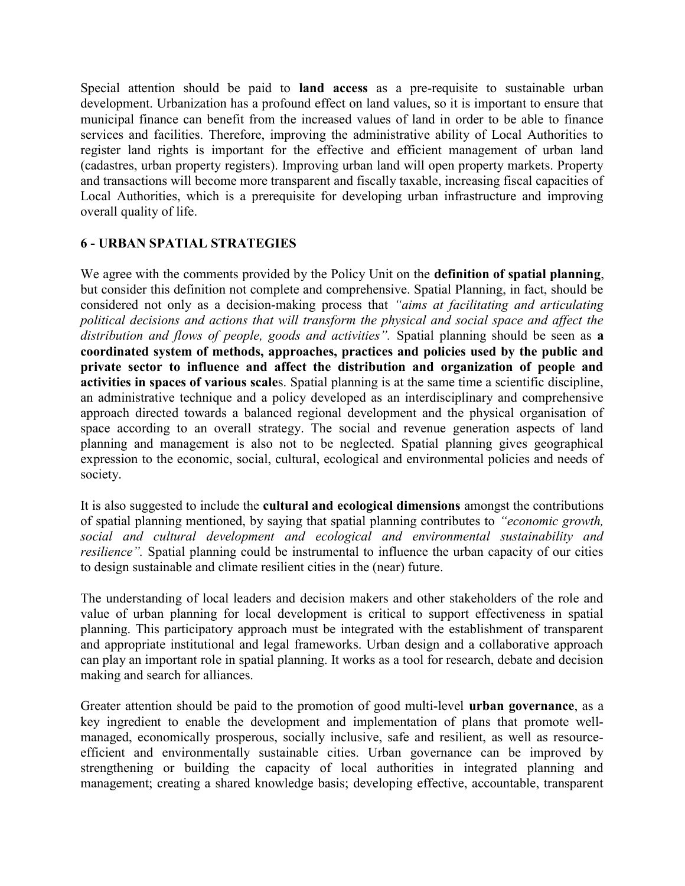Special attention should be paid to land access as a pre-requisite to sustainable urban development. Urbanization has a profound effect on land values, so it is important to ensure that municipal finance can benefit from the increased values of land in order to be able to finance services and facilities. Therefore, improving the administrative ability of Local Authorities to register land rights is important for the effective and efficient management of urban land (cadastres, urban property registers). Improving urban land will open property markets. Property and transactions will become more transparent and fiscally taxable, increasing fiscal capacities of Local Authorities, which is a prerequisite for developing urban infrastructure and improving overall quality of life.

## 6 - URBAN SPATIAL STRATEGIES

We agree with the comments provided by the Policy Unit on the definition of spatial planning, but consider this definition not complete and comprehensive. Spatial Planning, in fact, should be considered not only as a decision-making process that "aims at facilitating and articulating political decisions and actions that will transform the physical and social space and affect the distribution and flows of people, goods and activities". Spatial planning should be seen as a coordinated system of methods, approaches, practices and policies used by the public and private sector to influence and affect the distribution and organization of people and activities in spaces of various scales. Spatial planning is at the same time a scientific discipline, an administrative technique and a policy developed as an interdisciplinary and comprehensive approach directed towards a balanced regional development and the physical organisation of space according to an overall strategy. The social and revenue generation aspects of land planning and management is also not to be neglected. Spatial planning gives geographical expression to the economic, social, cultural, ecological and environmental policies and needs of society.

It is also suggested to include the cultural and ecological dimensions amongst the contributions of spatial planning mentioned, by saying that spatial planning contributes to "economic growth, social and cultural development and ecological and environmental sustainability and resilience". Spatial planning could be instrumental to influence the urban capacity of our cities to design sustainable and climate resilient cities in the (near) future.

The understanding of local leaders and decision makers and other stakeholders of the role and value of urban planning for local development is critical to support effectiveness in spatial planning. This participatory approach must be integrated with the establishment of transparent and appropriate institutional and legal frameworks. Urban design and a collaborative approach can play an important role in spatial planning. It works as a tool for research, debate and decision making and search for alliances.

Greater attention should be paid to the promotion of good multi-level urban governance, as a key ingredient to enable the development and implementation of plans that promote wellmanaged, economically prosperous, socially inclusive, safe and resilient, as well as resourceefficient and environmentally sustainable cities. Urban governance can be improved by strengthening or building the capacity of local authorities in integrated planning and management; creating a shared knowledge basis; developing effective, accountable, transparent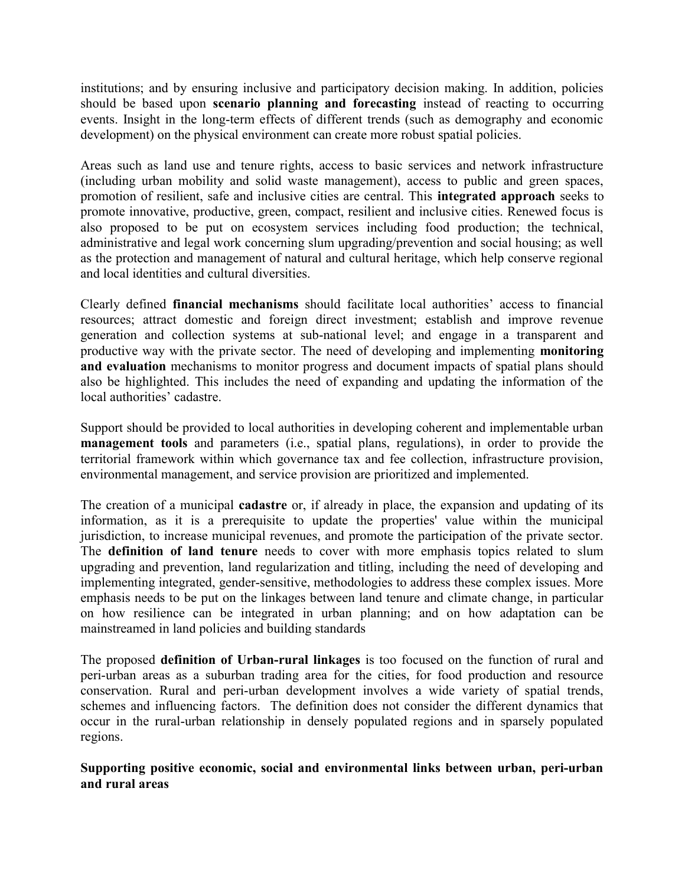institutions; and by ensuring inclusive and participatory decision making. In addition, policies should be based upon scenario planning and forecasting instead of reacting to occurring events. Insight in the long-term effects of different trends (such as demography and economic development) on the physical environment can create more robust spatial policies.

Areas such as land use and tenure rights, access to basic services and network infrastructure (including urban mobility and solid waste management), access to public and green spaces, promotion of resilient, safe and inclusive cities are central. This integrated approach seeks to promote innovative, productive, green, compact, resilient and inclusive cities. Renewed focus is also proposed to be put on ecosystem services including food production; the technical, administrative and legal work concerning slum upgrading/prevention and social housing; as well as the protection and management of natural and cultural heritage, which help conserve regional and local identities and cultural diversities.

Clearly defined financial mechanisms should facilitate local authorities' access to financial resources; attract domestic and foreign direct investment; establish and improve revenue generation and collection systems at sub-national level; and engage in a transparent and productive way with the private sector. The need of developing and implementing monitoring and evaluation mechanisms to monitor progress and document impacts of spatial plans should also be highlighted. This includes the need of expanding and updating the information of the local authorities' cadastre.

Support should be provided to local authorities in developing coherent and implementable urban management tools and parameters (i.e., spatial plans, regulations), in order to provide the territorial framework within which governance tax and fee collection, infrastructure provision, environmental management, and service provision are prioritized and implemented.

The creation of a municipal cadastre or, if already in place, the expansion and updating of its information, as it is a prerequisite to update the properties' value within the municipal jurisdiction, to increase municipal revenues, and promote the participation of the private sector. The definition of land tenure needs to cover with more emphasis topics related to slum upgrading and prevention, land regularization and titling, including the need of developing and implementing integrated, gender-sensitive, methodologies to address these complex issues. More emphasis needs to be put on the linkages between land tenure and climate change, in particular on how resilience can be integrated in urban planning; and on how adaptation can be mainstreamed in land policies and building standards

The proposed definition of Urban-rural linkages is too focused on the function of rural and peri-urban areas as a suburban trading area for the cities, for food production and resource conservation. Rural and peri-urban development involves a wide variety of spatial trends, schemes and influencing factors. The definition does not consider the different dynamics that occur in the rural-urban relationship in densely populated regions and in sparsely populated regions.

Supporting positive economic, social and environmental links between urban, peri-urban and rural areas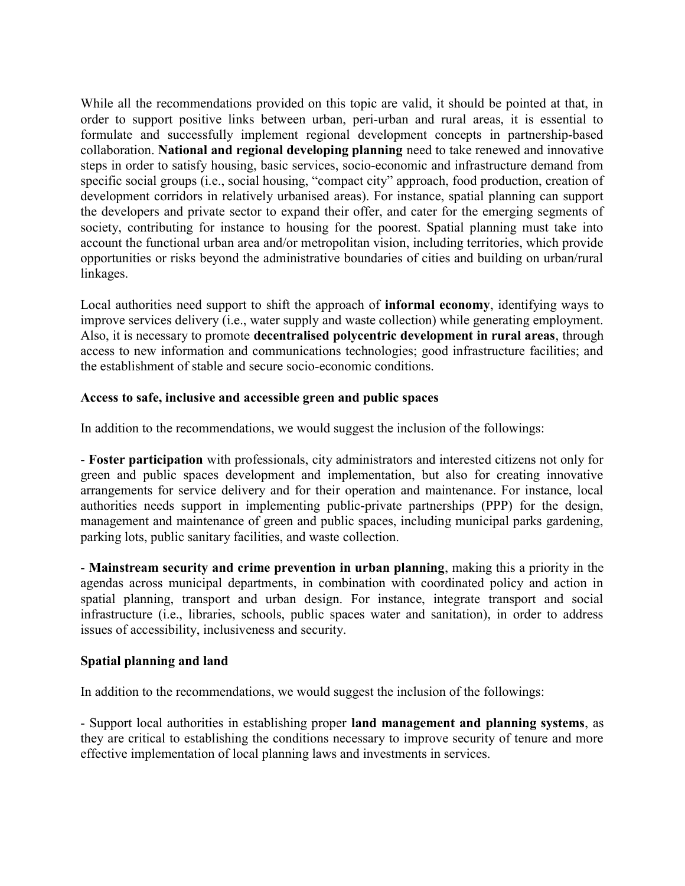While all the recommendations provided on this topic are valid, it should be pointed at that, in order to support positive links between urban, peri-urban and rural areas, it is essential to formulate and successfully implement regional development concepts in partnership-based collaboration. National and regional developing planning need to take renewed and innovative steps in order to satisfy housing, basic services, socio-economic and infrastructure demand from specific social groups (i.e., social housing, "compact city" approach, food production, creation of development corridors in relatively urbanised areas). For instance, spatial planning can support the developers and private sector to expand their offer, and cater for the emerging segments of society, contributing for instance to housing for the poorest. Spatial planning must take into account the functional urban area and/or metropolitan vision, including territories, which provide opportunities or risks beyond the administrative boundaries of cities and building on urban/rural linkages.

Local authorities need support to shift the approach of informal economy, identifying ways to improve services delivery (i.e., water supply and waste collection) while generating employment. Also, it is necessary to promote decentralised polycentric development in rural areas, through access to new information and communications technologies; good infrastructure facilities; and the establishment of stable and secure socio-economic conditions.

### Access to safe, inclusive and accessible green and public spaces

In addition to the recommendations, we would suggest the inclusion of the followings:

- Foster participation with professionals, city administrators and interested citizens not only for green and public spaces development and implementation, but also for creating innovative arrangements for service delivery and for their operation and maintenance. For instance, local authorities needs support in implementing public-private partnerships (PPP) for the design, management and maintenance of green and public spaces, including municipal parks gardening, parking lots, public sanitary facilities, and waste collection.

- Mainstream security and crime prevention in urban planning, making this a priority in the agendas across municipal departments, in combination with coordinated policy and action in spatial planning, transport and urban design. For instance, integrate transport and social infrastructure (i.e., libraries, schools, public spaces water and sanitation), in order to address issues of accessibility, inclusiveness and security.

#### Spatial planning and land

In addition to the recommendations, we would suggest the inclusion of the followings:

- Support local authorities in establishing proper land management and planning systems, as they are critical to establishing the conditions necessary to improve security of tenure and more effective implementation of local planning laws and investments in services.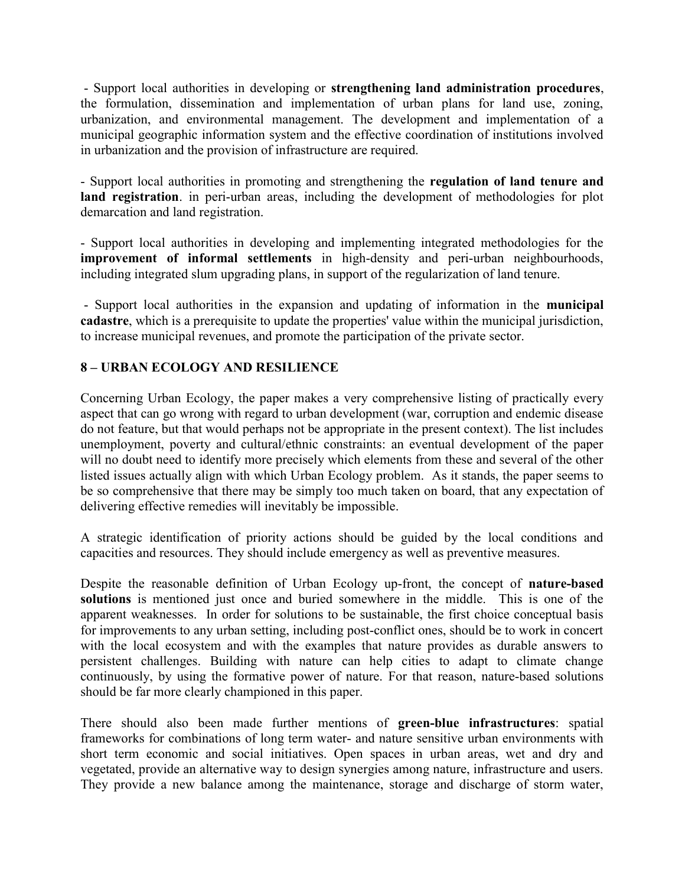- Support local authorities in developing or strengthening land administration procedures, the formulation, dissemination and implementation of urban plans for land use, zoning, urbanization, and environmental management. The development and implementation of a municipal geographic information system and the effective coordination of institutions involved in urbanization and the provision of infrastructure are required.

- Support local authorities in promoting and strengthening the regulation of land tenure and land registration. in peri-urban areas, including the development of methodologies for plot demarcation and land registration.

- Support local authorities in developing and implementing integrated methodologies for the improvement of informal settlements in high-density and peri-urban neighbourhoods, including integrated slum upgrading plans, in support of the regularization of land tenure.

 - Support local authorities in the expansion and updating of information in the municipal cadastre, which is a prerequisite to update the properties' value within the municipal jurisdiction, to increase municipal revenues, and promote the participation of the private sector.

## 8 – URBAN ECOLOGY AND RESILIENCE

Concerning Urban Ecology, the paper makes a very comprehensive listing of practically every aspect that can go wrong with regard to urban development (war, corruption and endemic disease do not feature, but that would perhaps not be appropriate in the present context). The list includes unemployment, poverty and cultural/ethnic constraints: an eventual development of the paper will no doubt need to identify more precisely which elements from these and several of the other listed issues actually align with which Urban Ecology problem. As it stands, the paper seems to be so comprehensive that there may be simply too much taken on board, that any expectation of delivering effective remedies will inevitably be impossible.

A strategic identification of priority actions should be guided by the local conditions and capacities and resources. They should include emergency as well as preventive measures.

Despite the reasonable definition of Urban Ecology up-front, the concept of nature-based solutions is mentioned just once and buried somewhere in the middle. This is one of the apparent weaknesses. In order for solutions to be sustainable, the first choice conceptual basis for improvements to any urban setting, including post-conflict ones, should be to work in concert with the local ecosystem and with the examples that nature provides as durable answers to persistent challenges. Building with nature can help cities to adapt to climate change continuously, by using the formative power of nature. For that reason, nature-based solutions should be far more clearly championed in this paper.

There should also been made further mentions of green-blue infrastructures: spatial frameworks for combinations of long term water- and nature sensitive urban environments with short term economic and social initiatives. Open spaces in urban areas, wet and dry and vegetated, provide an alternative way to design synergies among nature, infrastructure and users. They provide a new balance among the maintenance, storage and discharge of storm water,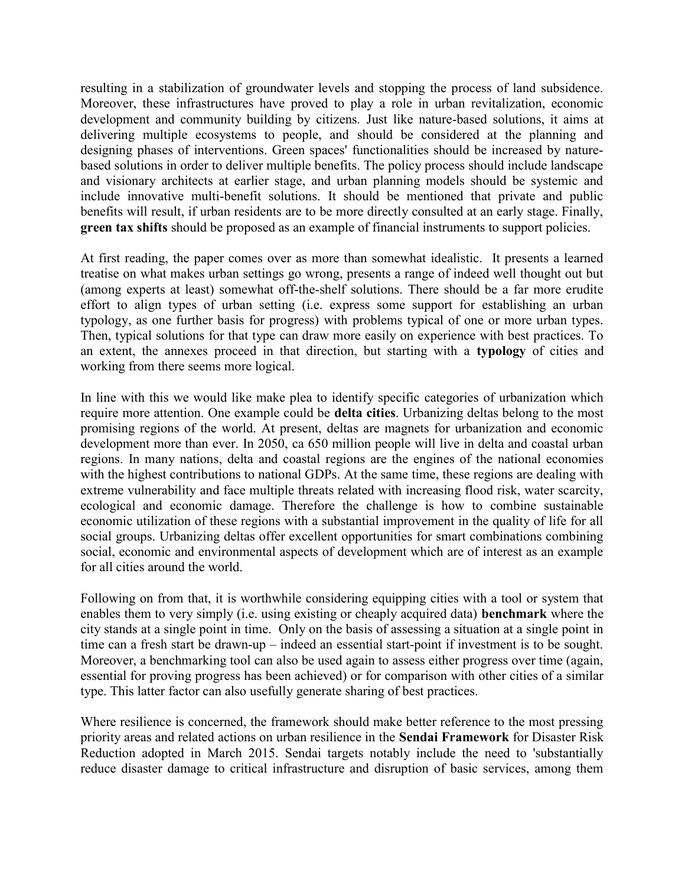resulting in a stabilization of groundwater levels and stopping the process of land subsidence. Moreover, these infrastructures have proved to play a role in urban revitalization, economic development and community building by citizens. Just like nature-based solutions, it aims at delivering multiple ecosystems to people, and should be considered at the planning and designing phases of interventions. Green spaces' functionalities should be increased by naturebased solutions in order to deliver multiple benefits. The policy process should include landscape and visionary architects at earlier stage, and urban planning models should be systemic and include innovative multi-benefit solutions. It should be mentioned that private and public benefits will result, if urban residents are to be more directly consulted at an early stage. Finally, green tax shifts should be proposed as an example of financial instruments to support policies.

At first reading, the paper comes over as more than somewhat idealistic. It presents a learned treatise on what makes urban settings go wrong, presents a range of indeed well thought out but (among experts at least) somewhat off-the-shelf solutions. There should be a far more erudite effort to align types of urban setting (i.e. express some support for establishing an urban typology, as one further basis for progress) with problems typical of one or more urban types. Then, typical solutions for that type can draw more easily on experience with best practices. To an extent, the annexes proceed in that direction, but starting with a typology of cities and working from there seems more logical.

In line with this we would like make plea to identify specific categories of urbanization which require more attention. One example could be delta cities. Urbanizing deltas belong to the most promising regions of the world. At present, deltas are magnets for urbanization and economic development more than ever. In 2050, ca 650 million people will live in delta and coastal urban regions. In many nations, delta and coastal regions are the engines of the national economies with the highest contributions to national GDPs. At the same time, these regions are dealing with extreme vulnerability and face multiple threats related with increasing flood risk, water scarcity, ecological and economic damage. Therefore the challenge is how to combine sustainable economic utilization of these regions with a substantial improvement in the quality of life for all social groups. Urbanizing deltas offer excellent opportunities for smart combinations combining social, economic and environmental aspects of development which are of interest as an example for all cities around the world.

Following on from that, it is worthwhile considering equipping cities with a tool or system that enables them to very simply (i.e. using existing or cheaply acquired data) benchmark where the city stands at a single point in time. Only on the basis of assessing a situation at a single point in time can a fresh start be drawn-up – indeed an essential start-point if investment is to be sought. Moreover, a benchmarking tool can also be used again to assess either progress over time (again, essential for proving progress has been achieved) or for comparison with other cities of a similar type. This latter factor can also usefully generate sharing of best practices.

Where resilience is concerned, the framework should make better reference to the most pressing priority areas and related actions on urban resilience in the Sendai Framework for Disaster Risk Reduction adopted in March 2015. Sendai targets notably include the need to 'substantially reduce disaster damage to critical infrastructure and disruption of basic services, among them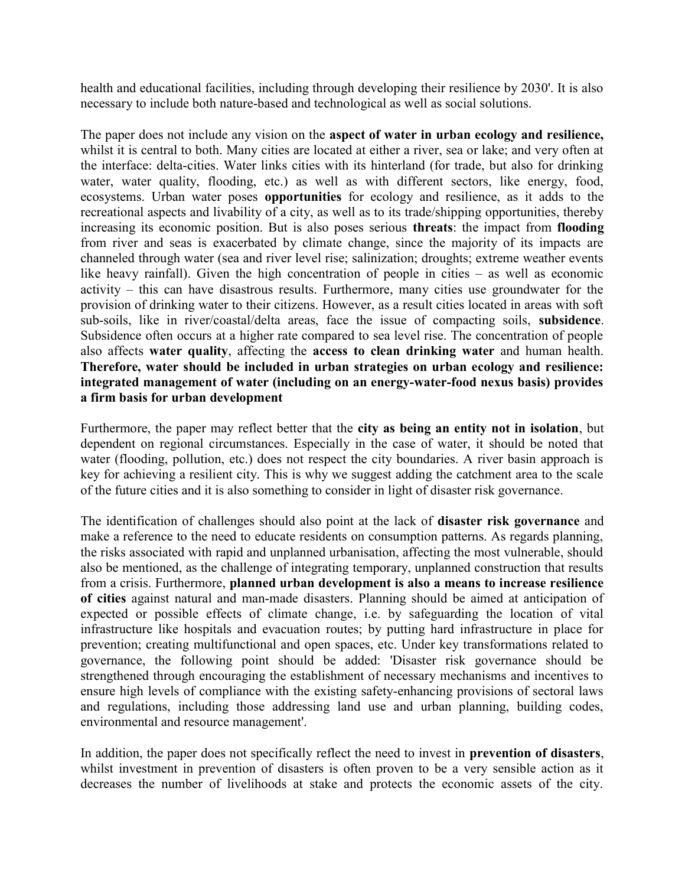health and educational facilities, including through developing their resilience by 2030'. It is also necessary to include both nature-based and technological as well as social solutions.

The paper does not include any vision on the aspect of water in urban ecology and resilience, whilst it is central to both. Many cities are located at either a river, sea or lake; and very often at the interface: delta-cities. Water links cities with its hinterland (for trade, but also for drinking water, water quality, flooding, etc.) as well as with different sectors, like energy, food, ecosystems. Urban water poses opportunities for ecology and resilience, as it adds to the recreational aspects and livability of a city, as well as to its trade/shipping opportunities, thereby increasing its economic position. But is also poses serious threats: the impact from flooding from river and seas is exacerbated by climate change, since the majority of its impacts are channeled through water (sea and river level rise; salinization; droughts; extreme weather events like heavy rainfall). Given the high concentration of people in cities – as well as economic activity – this can have disastrous results. Furthermore, many cities use groundwater for the provision of drinking water to their citizens. However, as a result cities located in areas with soft sub-soils, like in river/coastal/delta areas, face the issue of compacting soils, subsidence. Subsidence often occurs at a higher rate compared to sea level rise. The concentration of people also affects water quality, affecting the access to clean drinking water and human health. Therefore, water should be included in urban strategies on urban ecology and resilience: integrated management of water (including on an energy-water-food nexus basis) provides a firm basis for urban development

Furthermore, the paper may reflect better that the city as being an entity not in isolation, but dependent on regional circumstances. Especially in the case of water, it should be noted that water (flooding, pollution, etc.) does not respect the city boundaries. A river basin approach is key for achieving a resilient city. This is why we suggest adding the catchment area to the scale of the future cities and it is also something to consider in light of disaster risk governance.

The identification of challenges should also point at the lack of disaster risk governance and make a reference to the need to educate residents on consumption patterns. As regards planning, the risks associated with rapid and unplanned urbanisation, affecting the most vulnerable, should also be mentioned, as the challenge of integrating temporary, unplanned construction that results from a crisis. Furthermore, planned urban development is also a means to increase resilience of cities against natural and man-made disasters. Planning should be aimed at anticipation of expected or possible effects of climate change, i.e. by safeguarding the location of vital infrastructure like hospitals and evacuation routes; by putting hard infrastructure in place for prevention; creating multifunctional and open spaces, etc. Under key transformations related to governance, the following point should be added: 'Disaster risk governance should be strengthened through encouraging the establishment of necessary mechanisms and incentives to ensure high levels of compliance with the existing safety-enhancing provisions of sectoral laws and regulations, including those addressing land use and urban planning, building codes, environmental and resource management'.

In addition, the paper does not specifically reflect the need to invest in prevention of disasters, whilst investment in prevention of disasters is often proven to be a very sensible action as it decreases the number of livelihoods at stake and protects the economic assets of the city.